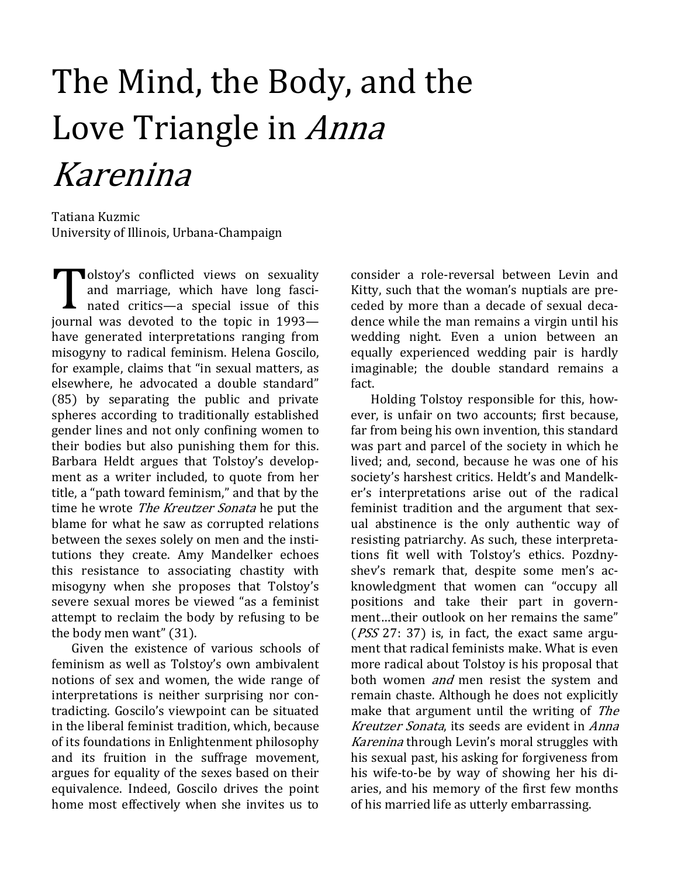## The Mind, the Body, and the Love Triangle in Anna Karenina

Tatiana Kuzmic University of Illinois, Urbana-Champaign

**Nolstoy's conflicted views on sexuality** and marriage, which have long fascinated critics—a special issue of this journal was devoted to the topic in 1993 have generated interpretations ranging from misogyny to radical feminism. Helena Goscilo, for example, claims that "in sexual matters, as elsewhere, he advocated a double standard" (85) by separating the public and private spheres according to traditionally established gender lines and not only confining women to their bodies but also punishing them for this. Barbara Heldt argues that Tolstoy's development as a writer included, to quote from her title, a "path toward feminism," and that by the time he wrote The Kreutzer Sonata he put the blame for what he saw as corrupted relations between the sexes solely on men and the institutions they create. Amy Mandelker echoes this resistance to associating chastity with misogyny when she proposes that Tolstoy's severe sexual mores be viewed "as a feminist attempt to reclaim the body by refusing to be the body men want" (31).

Given the existence of various schools of feminism as well as Tolstoy's own ambivalent notions of sex and women, the wide range of interpretations is neither surprising nor contradicting. Goscilo's viewpoint can be situated in the liberal feminist tradition, which, because of its foundations in Enlightenment philosophy and its fruition in the suffrage movement, argues for equality of the sexes based on their equivalence. Indeed, Goscilo drives the point home most effectively when she invites us to

consider a role-reversal between Levin and Kitty, such that the woman's nuptials are preceded by more than a decade of sexual decadence while the man remains a virgin until his wedding night. Even a union between an equally experienced wedding pair is hardly imaginable; the double standard remains a fact.

Holding Tolstoy responsible for this, however, is unfair on two accounts; first because, far from being his own invention, this standard was part and parcel of the society in which he lived; and, second, because he was one of his society's harshest critics. Heldt's and Mandelker's interpretations arise out of the radical feminist tradition and the argument that sexual abstinence is the only authentic way of resisting patriarchy. As such, these interpretations fit well with Tolstoy's ethics. Pozdnyshev's remark that, despite some men's acknowledgment that women can "occupy all positions and take their part in government…their outlook on her remains the same" (PSS 27: 37) is, in fact, the exact same argument that radical feminists make. What is even more radical about Tolstoy is his proposal that both women and men resist the system and remain chaste. Although he does not explicitly make that argument until the writing of The Kreutzer Sonata, its seeds are evident in Anna Karenina through Levin's moral struggles with his sexual past, his asking for forgiveness from his wife-to-be by way of showing her his diaries, and his memory of the first few months of his married life as utterly embarrassing.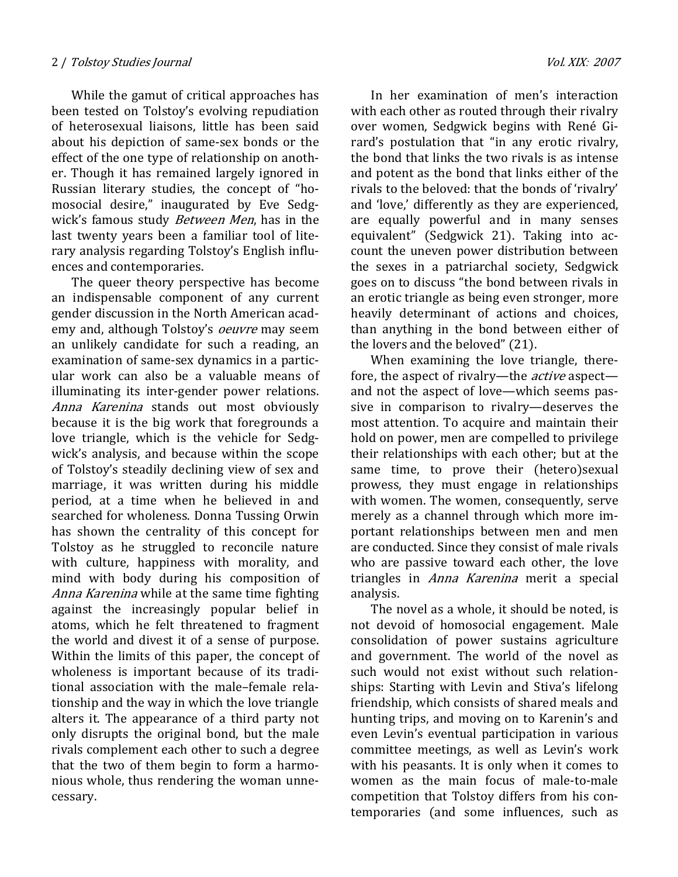While the gamut of critical approaches has been tested on Tolstoy's evolving repudiation of heterosexual liaisons, little has been said about his depiction of same-sex bonds or the effect of the one type of relationship on another. Though it has remained largely ignored in Russian literary studies, the concept of "homosocial desire," inaugurated by Eve Sedgwick's famous study Between Men, has in the last twenty years been a familiar tool of literary analysis regarding Tolstoy's English influences and contemporaries.

The queer theory perspective has become an indispensable component of any current gender discussion in the North American academy and, although Tolstoy's oeuvre may seem an unlikely candidate for such a reading, an examination of same-sex dynamics in a particular work can also be a valuable means of illuminating its inter-gender power relations. Anna Karenina stands out most obviously because it is the big work that foregrounds a love triangle, which is the vehicle for Sedgwick's analysis, and because within the scope of Tolstoy's steadily declining view of sex and marriage, it was written during his middle period, at a time when he believed in and searched for wholeness. Donna Tussing Orwin has shown the centrality of this concept for Tolstoy as he struggled to reconcile nature with culture, happiness with morality, and mind with body during his composition of Anna Karenina while at the same time fighting against the increasingly popular belief in atoms, which he felt threatened to fragment the world and divest it of a sense of purpose. Within the limits of this paper, the concept of wholeness is important because of its traditional association with the male–female relationship and the way in which the love triangle alters it. The appearance of a third party not only disrupts the original bond, but the male rivals complement each other to such a degree that the two of them begin to form a harmonious whole, thus rendering the woman unnecessary.

In her examination of men's interaction with each other as routed through their rivalry over women, Sedgwick begins with René Girard's postulation that "in any erotic rivalry, the bond that links the two rivals is as intense and potent as the bond that links either of the rivals to the beloved: that the bonds of 'rivalry' and 'love,' differently as they are experienced, are equally powerful and in many senses equivalent" (Sedgwick 21). Taking into account the uneven power distribution between the sexes in a patriarchal society, Sedgwick goes on to discuss "the bond between rivals in an erotic triangle as being even stronger, more heavily determinant of actions and choices, than anything in the bond between either of the lovers and the beloved" (21).

When examining the love triangle, therefore, the aspect of rivalry—the *active* aspect and not the aspect of love—which seems passive in comparison to rivalry—deserves the most attention. To acquire and maintain their hold on power, men are compelled to privilege their relationships with each other; but at the same time, to prove their (hetero)sexual prowess, they must engage in relationships with women. The women, consequently, serve merely as a channel through which more important relationships between men and men are conducted. Since they consist of male rivals who are passive toward each other, the love triangles in Anna Karenina merit a special analysis.

The novel as a whole, it should be noted, is not devoid of homosocial engagement. Male consolidation of power sustains agriculture and government. The world of the novel as such would not exist without such relationships: Starting with Levin and Stiva's lifelong friendship, which consists of shared meals and hunting trips, and moving on to Karenin's and even Levin's eventual participation in various committee meetings, as well as Levin's work with his peasants. It is only when it comes to women as the main focus of male-to-male competition that Tolstoy differs from his contemporaries (and some influences, such as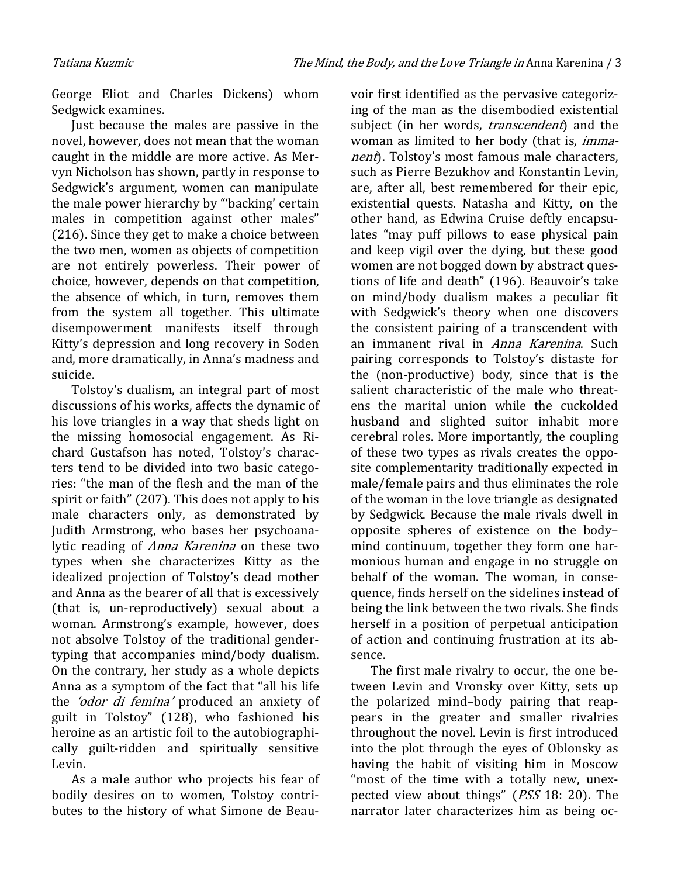George Eliot and Charles Dickens) whom Sedgwick examines.

Just because the males are passive in the novel, however, does not mean that the woman caught in the middle are more active. As Mervyn Nicholson has shown, partly in response to Sedgwick's argument, women can manipulate the male power hierarchy by "'backing' certain males in competition against other males" (216). Since they get to make a choice between the two men, women as objects of competition are not entirely powerless. Their power of choice, however, depends on that competition, the absence of which, in turn, removes them from the system all together. This ultimate disempowerment manifests itself through Kitty's depression and long recovery in Soden and, more dramatically, in Anna's madness and suicide.

Tolstoy's dualism, an integral part of most discussions of his works, affects the dynamic of his love triangles in a way that sheds light on the missing homosocial engagement. As Richard Gustafson has noted, Tolstoy's characters tend to be divided into two basic categories: "the man of the flesh and the man of the spirit or faith" (207). This does not apply to his male characters only, as demonstrated by Judith Armstrong, who bases her psychoanalytic reading of *Anna Karenina* on these two types when she characterizes Kitty as the idealized projection of Tolstoy's dead mother and Anna as the bearer of all that is excessively (that is, un-reproductively) sexual about a woman. Armstrong's example, however, does not absolve Tolstoy of the traditional gendertyping that accompanies mind/body dualism. On the contrary, her study as a whole depicts Anna as a symptom of the fact that "all his life the *'odor di femina'* produced an anxiety of guilt in Tolstoy" (128), who fashioned his heroine as an artistic foil to the autobiographically guilt-ridden and spiritually sensitive Levin.

As a male author who projects his fear of bodily desires on to women, Tolstoy contributes to the history of what Simone de Beau-

voir first identified as the pervasive categorizing of the man as the disembodied existential subject (in her words, *transcendent*) and the woman as limited to her body (that is, immanent). Tolstoy's most famous male characters, such as Pierre Bezukhov and Konstantin Levin, are, after all, best remembered for their epic, existential quests. Natasha and Kitty, on the other hand, as Edwina Cruise deftly encapsulates "may puff pillows to ease physical pain and keep vigil over the dying, but these good women are not bogged down by abstract questions of life and death" (196). Beauvoir's take on mind/body dualism makes a peculiar fit with Sedgwick's theory when one discovers the consistent pairing of a transcendent with an immanent rival in Anna Karenina. Such pairing corresponds to Tolstoy's distaste for the (non-productive) body, since that is the salient characteristic of the male who threatens the marital union while the cuckolded husband and slighted suitor inhabit more cerebral roles. More importantly, the coupling of these two types as rivals creates the opposite complementarity traditionally expected in male/female pairs and thus eliminates the role of the woman in the love triangle as designated by Sedgwick. Because the male rivals dwell in opposite spheres of existence on the body– mind continuum, together they form one harmonious human and engage in no struggle on behalf of the woman. The woman, in consequence, finds herself on the sidelines instead of being the link between the two rivals. She finds herself in a position of perpetual anticipation of action and continuing frustration at its absence.

The first male rivalry to occur, the one between Levin and Vronsky over Kitty, sets up the polarized mind–body pairing that reappears in the greater and smaller rivalries throughout the novel. Levin is first introduced into the plot through the eyes of Oblonsky as having the habit of visiting him in Moscow "most of the time with a totally new, unexpected view about things" (PSS 18: 20). The narrator later characterizes him as being oc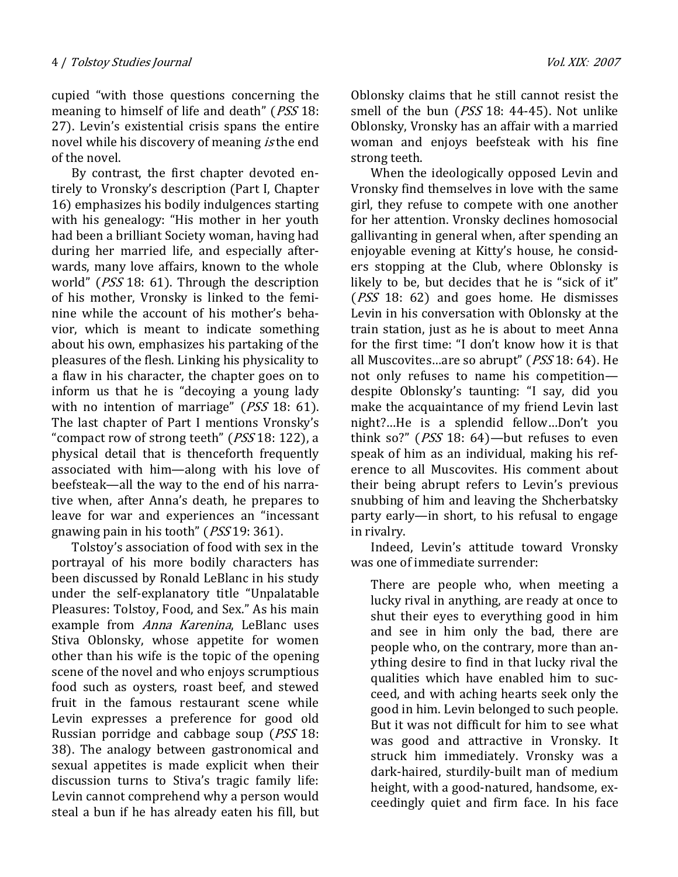cupied "with those questions concerning the meaning to himself of life and death" (*PSS* 18: 27). Levin's existential crisis spans the entire novel while his discovery of meaning *is* the end of the novel.

By contrast, the first chapter devoted entirely to Vronsky's description (Part I, Chapter 16) emphasizes his bodily indulgences starting with his genealogy: "His mother in her youth had been a brilliant Society woman, having had during her married life, and especially afterwards, many love affairs, known to the whole world" (*PSS* 18: 61). Through the description of his mother, Vronsky is linked to the feminine while the account of his mother's behavior, which is meant to indicate something about his own, emphasizes his partaking of the pleasures of the flesh. Linking his physicality to a flaw in his character, the chapter goes on to inform us that he is "decoying a young lady with no intention of marriage" (PSS 18: 61). The last chapter of Part I mentions Vronsky's "compact row of strong teeth" (PSS 18: 122), a physical detail that is thenceforth frequently associated with him—along with his love of beefsteak—all the way to the end of his narrative when, after Anna's death, he prepares to leave for war and experiences an "incessant gnawing pain in his tooth" (PSS 19: 361).

Tolstoy's association of food with sex in the portrayal of his more bodily characters has been discussed by Ronald LeBlanc in his study under the self-explanatory title "Unpalatable Pleasures: Tolstoy, Food, and Sex." As his main example from *Anna Karenina*, LeBlanc uses Stiva Oblonsky, whose appetite for women other than his wife is the topic of the opening scene of the novel and who enjoys scrumptious food such as oysters, roast beef, and stewed fruit in the famous restaurant scene while Levin expresses a preference for good old Russian porridge and cabbage soup (PSS 18: 38). The analogy between gastronomical and sexual appetites is made explicit when their discussion turns to Stiva's tragic family life: Levin cannot comprehend why a person would steal a bun if he has already eaten his fill, but

Oblonsky claims that he still cannot resist the smell of the bun (*PSS* 18: 44-45). Not unlike Oblonsky, Vronsky has an affair with a married woman and enjoys beefsteak with his fine strong teeth.

When the ideologically opposed Levin and Vronsky find themselves in love with the same girl, they refuse to compete with one another for her attention. Vronsky declines homosocial gallivanting in general when, after spending an enjoyable evening at Kitty's house, he considers stopping at the Club, where Oblonsky is likely to be, but decides that he is "sick of it" (PSS 18: 62) and goes home. He dismisses Levin in his conversation with Oblonsky at the train station, just as he is about to meet Anna for the first time: "I don't know how it is that all Muscovites…are so abrupt" (PSS 18: 64). He not only refuses to name his competition despite Oblonsky's taunting: "I say, did you make the acquaintance of my friend Levin last night?…He is a splendid fellow…Don't you think so?" (PSS 18: 64)—but refuses to even speak of him as an individual, making his reference to all Muscovites. His comment about their being abrupt refers to Levin's previous snubbing of him and leaving the Shcherbatsky party early—in short, to his refusal to engage in rivalry.

Indeed, Levin's attitude toward Vronsky was one of immediate surrender:

There are people who, when meeting a lucky rival in anything, are ready at once to shut their eyes to everything good in him and see in him only the bad, there are people who, on the contrary, more than anything desire to find in that lucky rival the qualities which have enabled him to succeed, and with aching hearts seek only the good in him. Levin belonged to such people. But it was not difficult for him to see what was good and attractive in Vronsky. It struck him immediately. Vronsky was a dark-haired, sturdily-built man of medium height, with a good-natured, handsome, exceedingly quiet and firm face. In his face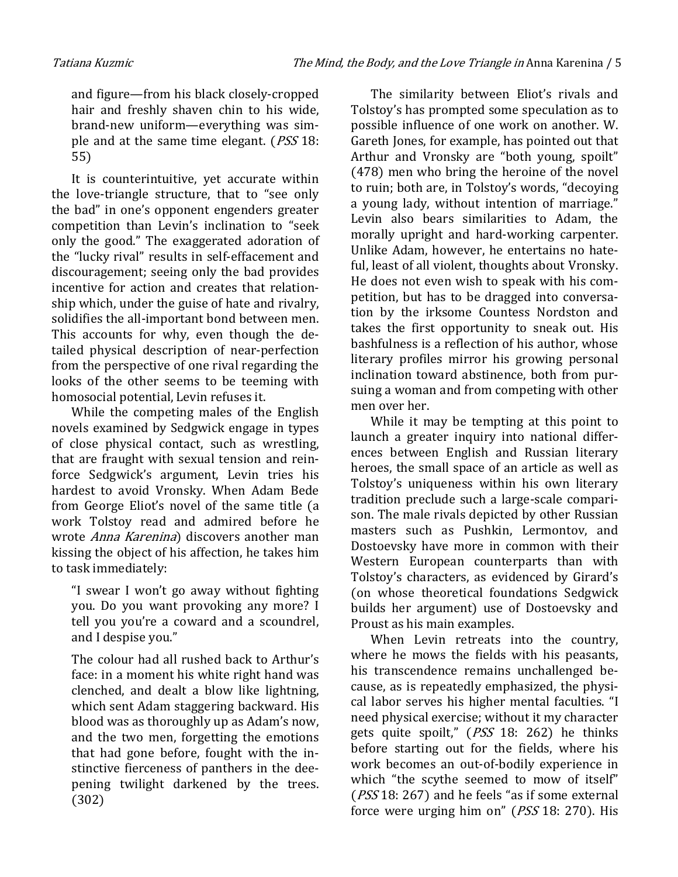and figure—from his black closely-cropped hair and freshly shaven chin to his wide, brand-new uniform—everything was simple and at the same time elegant. (PSS 18: 55)

It is counterintuitive, yet accurate within the love-triangle structure, that to "see only the bad" in one's opponent engenders greater competition than Levin's inclination to "seek only the good." The exaggerated adoration of the "lucky rival" results in self-effacement and discouragement; seeing only the bad provides incentive for action and creates that relationship which, under the guise of hate and rivalry, solidifies the all-important bond between men. This accounts for why, even though the detailed physical description of near-perfection from the perspective of one rival regarding the looks of the other seems to be teeming with homosocial potential, Levin refuses it.

While the competing males of the English novels examined by Sedgwick engage in types of close physical contact, such as wrestling, that are fraught with sexual tension and reinforce Sedgwick's argument, Levin tries his hardest to avoid Vronsky. When Adam Bede from George Eliot's novel of the same title (a work Tolstoy read and admired before he wrote *Anna Karenina*) discovers another man kissing the object of his affection, he takes him to task immediately:

"I swear I won't go away without fighting you. Do you want provoking any more? I tell you you're a coward and a scoundrel, and I despise you."

The colour had all rushed back to Arthur's face: in a moment his white right hand was clenched, and dealt a blow like lightning, which sent Adam staggering backward. His blood was as thoroughly up as Adam's now, and the two men, forgetting the emotions that had gone before, fought with the instinctive fierceness of panthers in the deepening twilight darkened by the trees. (302)

The similarity between Eliot's rivals and Tolstoy's has prompted some speculation as to possible influence of one work on another. W. Gareth Jones, for example, has pointed out that Arthur and Vronsky are "both young, spoilt" (478) men who bring the heroine of the novel to ruin; both are, in Tolstoy's words, "decoying a young lady, without intention of marriage." Levin also bears similarities to Adam, the morally upright and hard-working carpenter. Unlike Adam, however, he entertains no hateful, least of all violent, thoughts about Vronsky. He does not even wish to speak with his competition, but has to be dragged into conversation by the irksome Countess Nordston and takes the first opportunity to sneak out. His bashfulness is a reflection of his author, whose literary profiles mirror his growing personal inclination toward abstinence, both from pursuing a woman and from competing with other men over her.

While it may be tempting at this point to launch a greater inquiry into national differences between English and Russian literary heroes, the small space of an article as well as Tolstoy's uniqueness within his own literary tradition preclude such a large-scale comparison. The male rivals depicted by other Russian masters such as Pushkin, Lermontov, and Dostoevsky have more in common with their Western European counterparts than with Tolstoy's characters, as evidenced by Girard's (on whose theoretical foundations Sedgwick builds her argument) use of Dostoevsky and Proust as his main examples.

When Levin retreats into the country, where he mows the fields with his peasants, his transcendence remains unchallenged because, as is repeatedly emphasized, the physical labor serves his higher mental faculties. "I need physical exercise; without it my character gets quite spoilt," (PSS 18: 262) he thinks before starting out for the fields, where his work becomes an out-of-bodily experience in which "the scythe seemed to mow of itself" (PSS 18: 267) and he feels "as if some external force were urging him on" (PSS 18: 270). His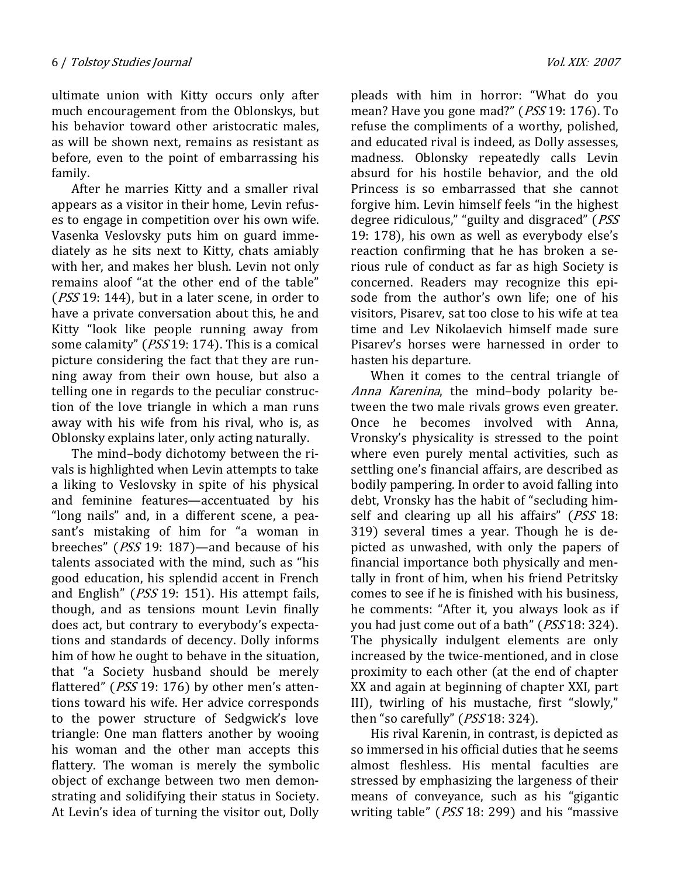ultimate union with Kitty occurs only after much encouragement from the Oblonskys, but his behavior toward other aristocratic males, as will be shown next, remains as resistant as before, even to the point of embarrassing his family.

After he marries Kitty and a smaller rival appears as a visitor in their home, Levin refuses to engage in competition over his own wife. Vasenka Veslovsky puts him on guard immediately as he sits next to Kitty, chats amiably with her, and makes her blush. Levin not only remains aloof "at the other end of the table" (PSS 19: 144), but in a later scene, in order to have a private conversation about this, he and Kitty "look like people running away from some calamity" (PSS 19: 174). This is a comical picture considering the fact that they are running away from their own house, but also a telling one in regards to the peculiar construction of the love triangle in which a man runs away with his wife from his rival, who is, as Oblonsky explains later, only acting naturally.

The mind–body dichotomy between the rivals is highlighted when Levin attempts to take a liking to Veslovsky in spite of his physical and feminine features—accentuated by his "long nails" and, in a different scene, a peasant's mistaking of him for "a woman in breeches" (PSS 19: 187)—and because of his talents associated with the mind, such as "his good education, his splendid accent in French and English" (PSS 19: 151). His attempt fails, though, and as tensions mount Levin finally does act, but contrary to everybody's expectations and standards of decency. Dolly informs him of how he ought to behave in the situation, that "a Society husband should be merely flattered" (*PSS* 19: 176) by other men's attentions toward his wife. Her advice corresponds to the power structure of Sedgwick's love triangle: One man flatters another by wooing his woman and the other man accepts this flattery. The woman is merely the symbolic object of exchange between two men demonstrating and solidifying their status in Society. At Levin's idea of turning the visitor out, Dolly

pleads with him in horror: "What do you mean? Have you gone mad?" (PSS 19: 176). To refuse the compliments of a worthy, polished, and educated rival is indeed, as Dolly assesses, madness. Oblonsky repeatedly calls Levin absurd for his hostile behavior, and the old Princess is so embarrassed that she cannot forgive him. Levin himself feels "in the highest degree ridiculous," "guilty and disgraced" (PSS 19: 178), his own as well as everybody else's reaction confirming that he has broken a serious rule of conduct as far as high Society is concerned. Readers may recognize this episode from the author's own life; one of his visitors, Pisarev, sat too close to his wife at tea time and Lev Nikolaevich himself made sure Pisarev's horses were harnessed in order to hasten his departure.

When it comes to the central triangle of Anna Karenina, the mind–body polarity between the two male rivals grows even greater. Once he becomes involved with Anna, Vronsky's physicality is stressed to the point where even purely mental activities, such as settling one's financial affairs, are described as bodily pampering. In order to avoid falling into debt, Vronsky has the habit of "secluding himself and clearing up all his affairs" (PSS 18: 319) several times a year. Though he is depicted as unwashed, with only the papers of financial importance both physically and mentally in front of him, when his friend Petritsky comes to see if he is finished with his business, he comments: "After it, you always look as if you had just come out of a bath" (PSS 18: 324). The physically indulgent elements are only increased by the twice-mentioned, and in close proximity to each other (at the end of chapter XX and again at beginning of chapter XXI, part III), twirling of his mustache, first "slowly," then "so carefully" (*PSS* 18: 324).

His rival Karenin, in contrast, is depicted as so immersed in his official duties that he seems almost fleshless. His mental faculties are stressed by emphasizing the largeness of their means of conveyance, such as his "gigantic writing table" (*PSS* 18: 299) and his "massive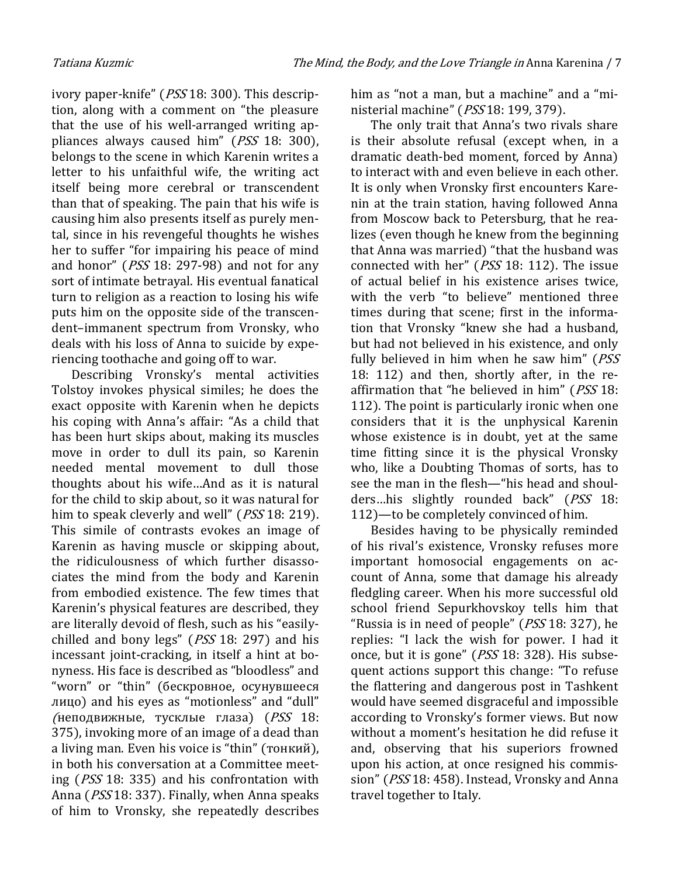ivory paper-knife" (PSS 18: 300). This description, along with a comment on "the pleasure that the use of his well-arranged writing appliances always caused him" (PSS 18: 300), belongs to the scene in which Karenin writes a letter to his unfaithful wife, the writing act itself being more cerebral or transcendent than that of speaking. The pain that his wife is causing him also presents itself as purely mental, since in his revengeful thoughts he wishes her to suffer "for impairing his peace of mind and honor" (PSS 18: 297-98) and not for any sort of intimate betrayal. His eventual fanatical turn to religion as a reaction to losing his wife puts him on the opposite side of the transcendent–immanent spectrum from Vronsky, who deals with his loss of Anna to suicide by experiencing toothache and going off to war.

Describing Vronsky's mental activities Tolstoy invokes physical similes; he does the exact opposite with Karenin when he depicts his coping with Anna's affair: "As a child that has been hurt skips about, making its muscles move in order to dull its pain, so Karenin needed mental movement to dull those thoughts about his wife…And as it is natural for the child to skip about, so it was natural for him to speak cleverly and well" (*PSS* 18: 219). This simile of contrasts evokes an image of Karenin as having muscle or skipping about, the ridiculousness of which further disassociates the mind from the body and Karenin from embodied existence. The few times that Karenin's physical features are described, they are literally devoid of flesh, such as his "easilychilled and bony legs" (PSS 18: 297) and his incessant joint-cracking, in itself a hint at bonyness. His face is described as "bloodless" and "worn" or "thin" (бескровное, осунувшееся лицо) and his eyes as "motionless" and "dull" (неподвижные, тусклые глаза) (PSS 18: 375), invoking more of an image of a dead than a living man. Even his voice is "thin" (тонкий), in both his conversation at a Committee meeting (PSS 18: 335) and his confrontation with Anna (PSS 18: 337). Finally, when Anna speaks of him to Vronsky, she repeatedly describes

him as "not a man, but a machine" and a "ministerial machine" (PSS 18: 199, 379).

The only trait that Anna's two rivals share is their absolute refusal (except when, in a dramatic death-bed moment, forced by Anna) to interact with and even believe in each other. It is only when Vronsky first encounters Karenin at the train station, having followed Anna from Moscow back to Petersburg, that he realizes (even though he knew from the beginning that Anna was married) "that the husband was connected with her" (PSS 18: 112). The issue of actual belief in his existence arises twice, with the verb "to believe" mentioned three times during that scene; first in the information that Vronsky "knew she had a husband, but had not believed in his existence, and only fully believed in him when he saw him" (PSS 18: 112) and then, shortly after, in the reaffirmation that "he believed in him" (PSS 18: 112). The point is particularly ironic when one considers that it is the unphysical Karenin whose existence is in doubt, yet at the same time fitting since it is the physical Vronsky who, like a Doubting Thomas of sorts, has to see the man in the flesh—"his head and shoulders...his slightly rounded back" (PSS 18: 112)—to be completely convinced of him.

Besides having to be physically reminded of his rival's existence, Vronsky refuses more important homosocial engagements on account of Anna, some that damage his already fledgling career. When his more successful old school friend Sepurkhovskoy tells him that "Russia is in need of people" (PSS 18: 327), he replies: "I lack the wish for power. I had it once, but it is gone" (PSS 18: 328). His subsequent actions support this change: "To refuse the flattering and dangerous post in Tashkent would have seemed disgraceful and impossible according to Vronsky's former views. But now without a moment's hesitation he did refuse it and, observing that his superiors frowned upon his action, at once resigned his commission" (PSS 18: 458). Instead, Vronsky and Anna travel together to Italy.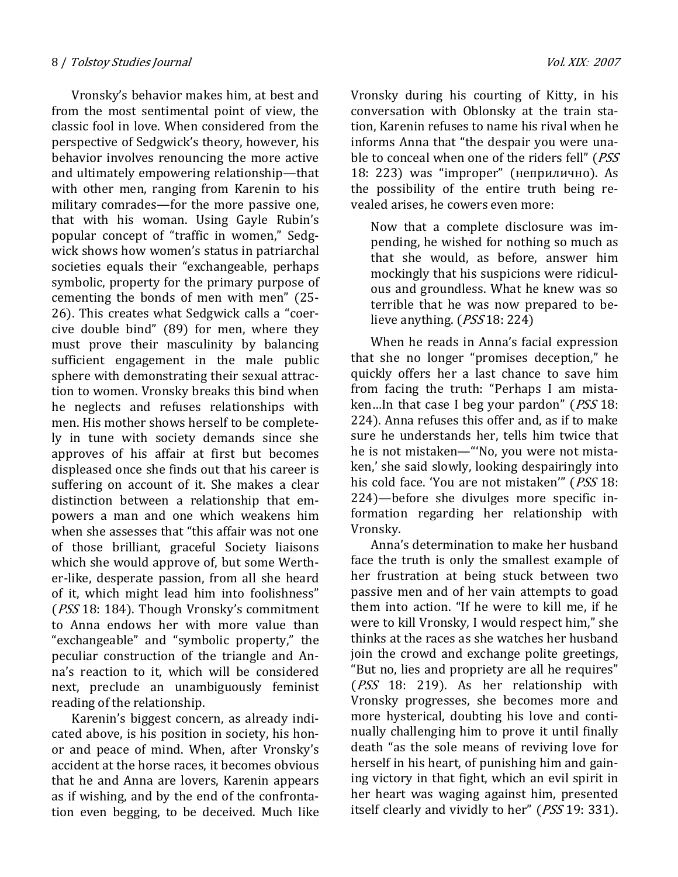Vronsky's behavior makes him, at best and from the most sentimental point of view, the classic fool in love. When considered from the perspective of Sedgwick's theory, however, his behavior involves renouncing the more active and ultimately empowering relationship—that with other men, ranging from Karenin to his military comrades—for the more passive one, that with his woman. Using Gayle Rubin's popular concept of "traffic in women," Sedgwick shows how women's status in patriarchal societies equals their "exchangeable, perhaps symbolic, property for the primary purpose of cementing the bonds of men with men" (25- 26). This creates what Sedgwick calls a "coercive double bind" (89) for men, where they must prove their masculinity by balancing sufficient engagement in the male public sphere with demonstrating their sexual attraction to women. Vronsky breaks this bind when he neglects and refuses relationships with men. His mother shows herself to be completely in tune with society demands since she approves of his affair at first but becomes displeased once she finds out that his career is suffering on account of it. She makes a clear distinction between a relationship that empowers a man and one which weakens him when she assesses that "this affair was not one of those brilliant, graceful Society liaisons which she would approve of, but some Werther-like, desperate passion, from all she heard of it, which might lead him into foolishness" (PSS 18: 184). Though Vronsky's commitment to Anna endows her with more value than "exchangeable" and "symbolic property," the peculiar construction of the triangle and Anna's reaction to it, which will be considered next, preclude an unambiguously feminist reading of the relationship.

Karenin's biggest concern, as already indicated above, is his position in society, his honor and peace of mind. When, after Vronsky's accident at the horse races, it becomes obvious that he and Anna are lovers, Karenin appears as if wishing, and by the end of the confrontation even begging, to be deceived. Much like Vronsky during his courting of Kitty, in his conversation with Oblonsky at the train station, Karenin refuses to name his rival when he informs Anna that "the despair you were unable to conceal when one of the riders fell" (PSS 18: 223) was "improper" (неприлично). As the possibility of the entire truth being revealed arises, he cowers even more:

Now that a complete disclosure was impending, he wished for nothing so much as that she would, as before, answer him mockingly that his suspicions were ridiculous and groundless. What he knew was so terrible that he was now prepared to believe anything. (PSS 18: 224)

When he reads in Anna's facial expression that she no longer "promises deception," he quickly offers her a last chance to save him from facing the truth: "Perhaps I am mistaken...In that case I beg your pardon" (*PSS* 18: 224). Anna refuses this offer and, as if to make sure he understands her, tells him twice that he is not mistaken—"'No, you were not mistaken,' she said slowly, looking despairingly into his cold face. 'You are not mistaken'" (PSS 18: 224)—before she divulges more specific information regarding her relationship with Vronsky.

Anna's determination to make her husband face the truth is only the smallest example of her frustration at being stuck between two passive men and of her vain attempts to goad them into action. "If he were to kill me, if he were to kill Vronsky, I would respect him," she thinks at the races as she watches her husband join the crowd and exchange polite greetings, "But no, lies and propriety are all he requires" (PSS 18: 219). As her relationship with Vronsky progresses, she becomes more and more hysterical, doubting his love and continually challenging him to prove it until finally death "as the sole means of reviving love for herself in his heart, of punishing him and gaining victory in that fight, which an evil spirit in her heart was waging against him, presented itself clearly and vividly to her" (*PSS* 19: 331).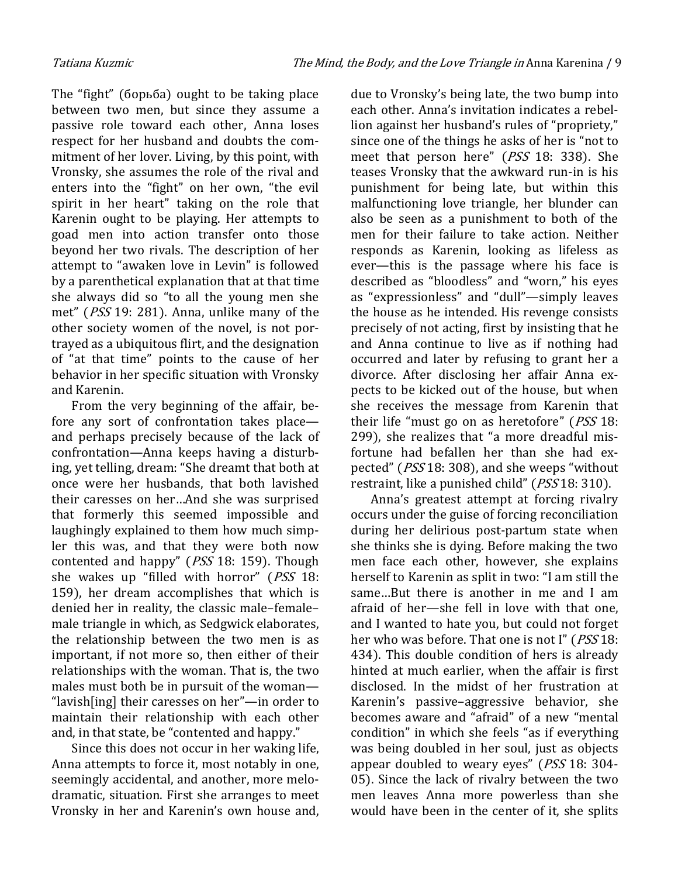The "fight" (борьба) ought to be taking place between two men, but since they assume a passive role toward each other, Anna loses respect for her husband and doubts the commitment of her lover. Living, by this point, with Vronsky, she assumes the role of the rival and enters into the "fight" on her own, "the evil spirit in her heart" taking on the role that Karenin ought to be playing. Her attempts to goad men into action transfer onto those beyond her two rivals. The description of her attempt to "awaken love in Levin" is followed by a parenthetical explanation that at that time she always did so "to all the young men she met" (PSS 19: 281). Anna, unlike many of the other society women of the novel, is not portrayed as a ubiquitous flirt, and the designation of "at that time" points to the cause of her behavior in her specific situation with Vronsky and Karenin.

From the very beginning of the affair, before any sort of confrontation takes place and perhaps precisely because of the lack of confrontation—Anna keeps having a disturbing, yet telling, dream: "She dreamt that both at once were her husbands, that both lavished their caresses on her…And she was surprised that formerly this seemed impossible and laughingly explained to them how much simpler this was, and that they were both now contented and happy" (PSS 18: 159). Though she wakes up "filled with horror" (PSS 18: 159), her dream accomplishes that which is denied her in reality, the classic male–female– male triangle in which, as Sedgwick elaborates, the relationship between the two men is as important, if not more so, then either of their relationships with the woman. That is, the two males must both be in pursuit of the woman— "lavish[ing] their caresses on her"—in order to maintain their relationship with each other and, in that state, be "contented and happy."

Since this does not occur in her waking life, Anna attempts to force it, most notably in one, seemingly accidental, and another, more melodramatic, situation. First she arranges to meet Vronsky in her and Karenin's own house and,

due to Vronsky's being late, the two bump into each other. Anna's invitation indicates a rebellion against her husband's rules of "propriety," since one of the things he asks of her is "not to meet that person here" (PSS 18: 338). She teases Vronsky that the awkward run-in is his punishment for being late, but within this malfunctioning love triangle, her blunder can also be seen as a punishment to both of the men for their failure to take action. Neither responds as Karenin, looking as lifeless as ever—this is the passage where his face is described as "bloodless" and "worn," his eyes as "expressionless" and "dull"—simply leaves the house as he intended. His revenge consists precisely of not acting, first by insisting that he and Anna continue to live as if nothing had occurred and later by refusing to grant her a divorce. After disclosing her affair Anna expects to be kicked out of the house, but when she receives the message from Karenin that their life "must go on as heretofore" (PSS 18: 299), she realizes that "a more dreadful misfortune had befallen her than she had expected" (PSS 18: 308), and she weeps "without restraint, like a punished child" (PSS 18: 310).

Anna's greatest attempt at forcing rivalry occurs under the guise of forcing reconciliation during her delirious post-partum state when she thinks she is dying. Before making the two men face each other, however, she explains herself to Karenin as split in two: "I am still the same…But there is another in me and I am afraid of her—she fell in love with that one, and I wanted to hate you, but could not forget her who was before. That one is not I" (*PSS* 18: 434). This double condition of hers is already hinted at much earlier, when the affair is first disclosed. In the midst of her frustration at Karenin's passive–aggressive behavior, she becomes aware and "afraid" of a new "mental condition" in which she feels "as if everything was being doubled in her soul, just as objects appear doubled to weary eyes" (PSS 18: 304- 05). Since the lack of rivalry between the two men leaves Anna more powerless than she would have been in the center of it, she splits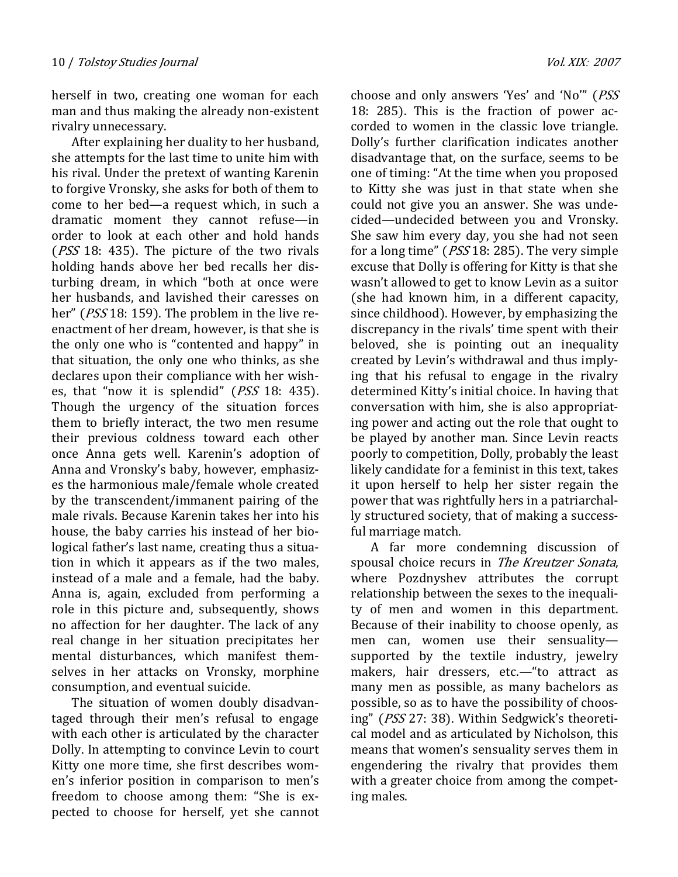herself in two, creating one woman for each man and thus making the already non-existent rivalry unnecessary.

After explaining her duality to her husband, she attempts for the last time to unite him with his rival. Under the pretext of wanting Karenin to forgive Vronsky, she asks for both of them to come to her bed—a request which, in such a dramatic moment they cannot refuse—in order to look at each other and hold hands (*PSS* 18: 435). The picture of the two rivals holding hands above her bed recalls her disturbing dream, in which "both at once were her husbands, and lavished their caresses on her" (*PSS* 18: 159). The problem in the live reenactment of her dream, however, is that she is the only one who is "contented and happy" in that situation, the only one who thinks, as she declares upon their compliance with her wishes, that "now it is splendid" (PSS 18: 435). Though the urgency of the situation forces them to briefly interact, the two men resume their previous coldness toward each other once Anna gets well. Karenin's adoption of Anna and Vronsky's baby, however, emphasizes the harmonious male/female whole created by the transcendent/immanent pairing of the male rivals. Because Karenin takes her into his house, the baby carries his instead of her biological father's last name, creating thus a situation in which it appears as if the two males, instead of a male and a female, had the baby. Anna is, again, excluded from performing a role in this picture and, subsequently, shows no affection for her daughter. The lack of any real change in her situation precipitates her mental disturbances, which manifest themselves in her attacks on Vronsky, morphine consumption, and eventual suicide.

The situation of women doubly disadvantaged through their men's refusal to engage with each other is articulated by the character Dolly. In attempting to convince Levin to court Kitty one more time, she first describes women's inferior position in comparison to men's freedom to choose among them: "She is expected to choose for herself, yet she cannot

choose and only answers 'Yes' and 'No'" (PSS 18: 285). This is the fraction of power accorded to women in the classic love triangle. Dolly's further clarification indicates another disadvantage that, on the surface, seems to be one of timing: "At the time when you proposed to Kitty she was just in that state when she could not give you an answer. She was undecided—undecided between you and Vronsky. She saw him every day, you she had not seen for a long time" (PSS 18: 285). The very simple excuse that Dolly is offering for Kitty is that she wasn't allowed to get to know Levin as a suitor (she had known him, in a different capacity, since childhood). However, by emphasizing the discrepancy in the rivals' time spent with their beloved, she is pointing out an inequality created by Levin's withdrawal and thus implying that his refusal to engage in the rivalry determined Kitty's initial choice. In having that conversation with him, she is also appropriating power and acting out the role that ought to be played by another man. Since Levin reacts poorly to competition, Dolly, probably the least likely candidate for a feminist in this text, takes it upon herself to help her sister regain the power that was rightfully hers in a patriarchally structured society, that of making a successful marriage match.

A far more condemning discussion of spousal choice recurs in The Kreutzer Sonata, where Pozdnyshev attributes the corrupt relationship between the sexes to the inequality of men and women in this department. Because of their inability to choose openly, as men can, women use their sensuality supported by the textile industry, jewelry makers, hair dressers, etc.—"to attract as many men as possible, as many bachelors as possible, so as to have the possibility of choosing" (PSS 27: 38). Within Sedgwick's theoretical model and as articulated by Nicholson, this means that women's sensuality serves them in engendering the rivalry that provides them with a greater choice from among the competing males.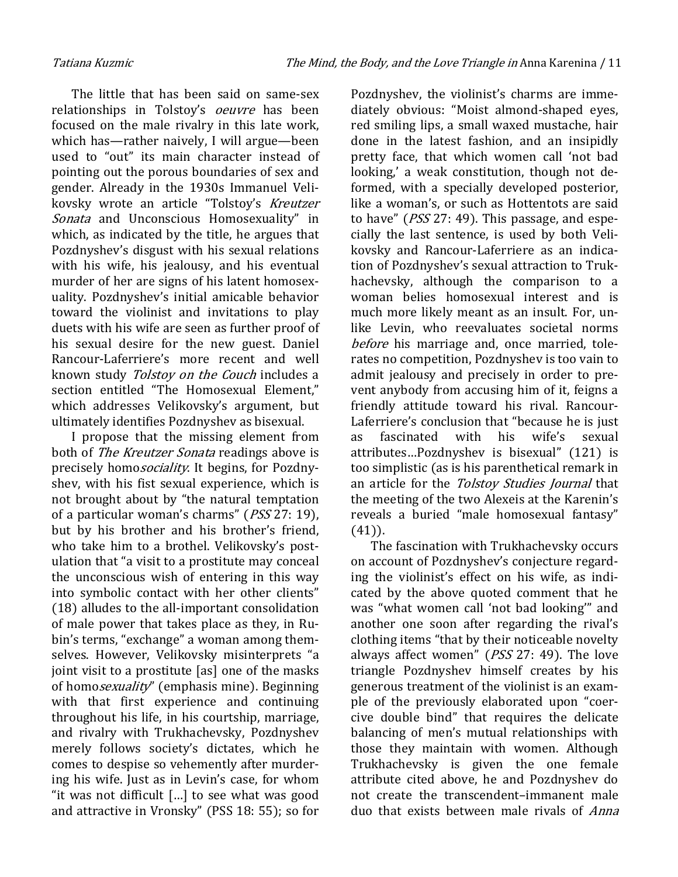The little that has been said on same-sex relationships in Tolstoy's oeuvre has been focused on the male rivalry in this late work, which has—rather naively, I will argue—been used to "out" its main character instead of pointing out the porous boundaries of sex and gender. Already in the 1930s Immanuel Velikovsky wrote an article "Tolstoy's Kreutzer Sonata and Unconscious Homosexuality" in which, as indicated by the title, he argues that Pozdnyshev's disgust with his sexual relations with his wife, his jealousy, and his eventual murder of her are signs of his latent homosexuality. Pozdnyshev's initial amicable behavior toward the violinist and invitations to play duets with his wife are seen as further proof of his sexual desire for the new guest. Daniel Rancour-Laferriere's more recent and well known study Tolstoy on the Couch includes a section entitled "The Homosexual Element," which addresses Velikovsky's argument, but ultimately identifies Pozdnyshev as bisexual.

I propose that the missing element from both of The Kreutzer Sonata readings above is precisely homo*sociality*. It begins, for Pozdnyshev, with his fist sexual experience, which is not brought about by "the natural temptation of a particular woman's charms" (PSS 27: 19), but by his brother and his brother's friend, who take him to a brothel. Velikovsky's postulation that "a visit to a prostitute may conceal the unconscious wish of entering in this way into symbolic contact with her other clients" (18) alludes to the all-important consolidation of male power that takes place as they, in Rubin's terms, "exchange" a woman among themselves. However, Velikovsky misinterprets "a joint visit to a prostitute [as] one of the masks of homo*sexuality*" (emphasis mine). Beginning with that first experience and continuing throughout his life, in his courtship, marriage, and rivalry with Trukhachevsky, Pozdnyshev merely follows society's dictates, which he comes to despise so vehemently after murdering his wife. Just as in Levin's case, for whom "it was not difficult […] to see what was good and attractive in Vronsky" (PSS 18: 55); so for

Pozdnyshev, the violinist's charms are immediately obvious: "Moist almond-shaped eyes, red smiling lips, a small waxed mustache, hair done in the latest fashion, and an insipidly pretty face, that which women call 'not bad looking,' a weak constitution, though not deformed, with a specially developed posterior, like a woman's, or such as Hottentots are said to have" (PSS 27: 49). This passage, and especially the last sentence, is used by both Velikovsky and Rancour-Laferriere as an indication of Pozdnyshev's sexual attraction to Trukhachevsky, although the comparison to a woman belies homosexual interest and is much more likely meant as an insult. For, unlike Levin, who reevaluates societal norms before his marriage and, once married, tolerates no competition, Pozdnyshev is too vain to admit jealousy and precisely in order to prevent anybody from accusing him of it, feigns a friendly attitude toward his rival. Rancour-Laferriere's conclusion that "because he is just as fascinated with his wife's sexual attributes…Pozdnyshev is bisexual" (121) is too simplistic (as is his parenthetical remark in an article for the Tolstoy Studies Journal that the meeting of the two Alexeis at the Karenin's reveals a buried "male homosexual fantasy" (41)).

The fascination with Trukhachevsky occurs on account of Pozdnyshev's conjecture regarding the violinist's effect on his wife, as indicated by the above quoted comment that he was "what women call 'not bad looking'" and another one soon after regarding the rival's clothing items "that by their noticeable novelty always affect women" (PSS 27: 49). The love triangle Pozdnyshev himself creates by his generous treatment of the violinist is an example of the previously elaborated upon "coercive double bind" that requires the delicate balancing of men's mutual relationships with those they maintain with women. Although Trukhachevsky is given the one female attribute cited above, he and Pozdnyshev do not create the transcendent–immanent male duo that exists between male rivals of *Anna*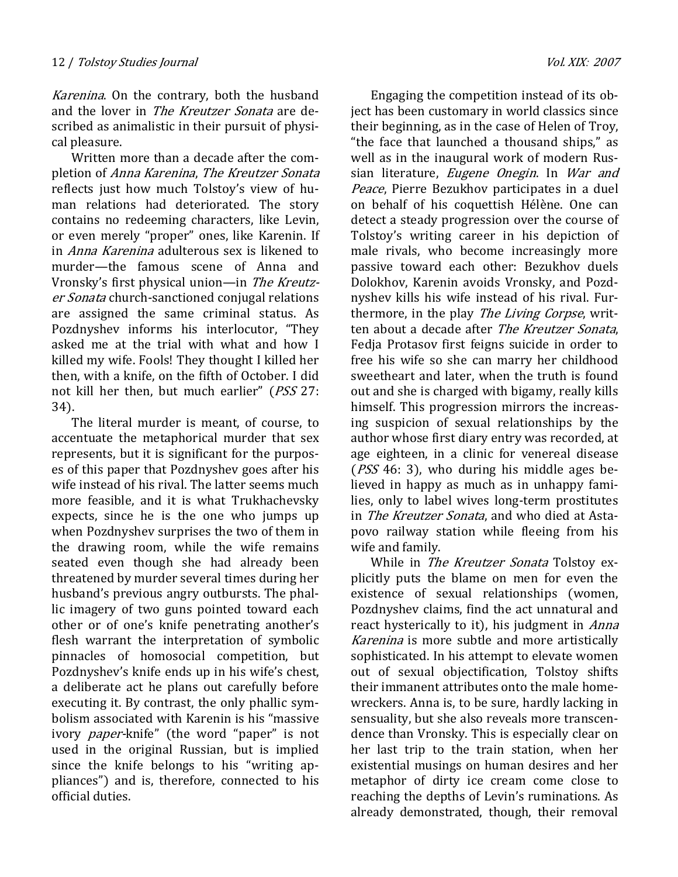Karenina. On the contrary, both the husband and the lover in The Kreutzer Sonata are described as animalistic in their pursuit of physical pleasure.

Written more than a decade after the completion of Anna Karenina, The Kreutzer Sonata reflects just how much Tolstoy's view of human relations had deteriorated. The story contains no redeeming characters, like Levin, or even merely "proper" ones, like Karenin. If in Anna Karenina adulterous sex is likened to murder—the famous scene of Anna and Vronsky's first physical union—in The Kreutzer Sonata church-sanctioned conjugal relations are assigned the same criminal status. As Pozdnyshev informs his interlocutor, "They asked me at the trial with what and how I killed my wife. Fools! They thought I killed her then, with a knife, on the fifth of October. I did not kill her then, but much earlier" (PSS 27: 34).

The literal murder is meant, of course, to accentuate the metaphorical murder that sex represents, but it is significant for the purposes of this paper that Pozdnyshev goes after his wife instead of his rival. The latter seems much more feasible, and it is what Trukhachevsky expects, since he is the one who jumps up when Pozdnyshev surprises the two of them in the drawing room, while the wife remains seated even though she had already been threatened by murder several times during her husband's previous angry outbursts. The phallic imagery of two guns pointed toward each other or of one's knife penetrating another's flesh warrant the interpretation of symbolic pinnacles of homosocial competition, but Pozdnyshev's knife ends up in his wife's chest, a deliberate act he plans out carefully before executing it. By contrast, the only phallic symbolism associated with Karenin is his "massive ivory *paper*-knife" (the word "paper" is not used in the original Russian, but is implied since the knife belongs to his "writing appliances") and is, therefore, connected to his official duties.

Engaging the competition instead of its object has been customary in world classics since their beginning, as in the case of Helen of Troy, "the face that launched a thousand ships," as well as in the inaugural work of modern Russian literature, Eugene Onegin. In War and Peace, Pierre Bezukhov participates in a duel on behalf of his coquettish Hélène. One can detect a steady progression over the course of Tolstoy's writing career in his depiction of male rivals, who become increasingly more passive toward each other: Bezukhov duels Dolokhov, Karenin avoids Vronsky, and Pozdnyshev kills his wife instead of his rival. Furthermore, in the play The Living Corpse, written about a decade after The Kreutzer Sonata, Fedja Protasov first feigns suicide in order to free his wife so she can marry her childhood sweetheart and later, when the truth is found out and she is charged with bigamy, really kills himself. This progression mirrors the increasing suspicion of sexual relationships by the author whose first diary entry was recorded, at age eighteen, in a clinic for venereal disease ( $PSS$  46: 3), who during his middle ages believed in happy as much as in unhappy families, only to label wives long-term prostitutes in The Kreutzer Sonata, and who died at Astapovo railway station while fleeing from his wife and family.

While in The Kreutzer Sonata Tolstoy explicitly puts the blame on men for even the existence of sexual relationships (women, Pozdnyshev claims, find the act unnatural and react hysterically to it), his judgment in *Anna* Karenina is more subtle and more artistically sophisticated. In his attempt to elevate women out of sexual objectification, Tolstoy shifts their immanent attributes onto the male homewreckers. Anna is, to be sure, hardly lacking in sensuality, but she also reveals more transcendence than Vronsky. This is especially clear on her last trip to the train station, when her existential musings on human desires and her metaphor of dirty ice cream come close to reaching the depths of Levin's ruminations. As already demonstrated, though, their removal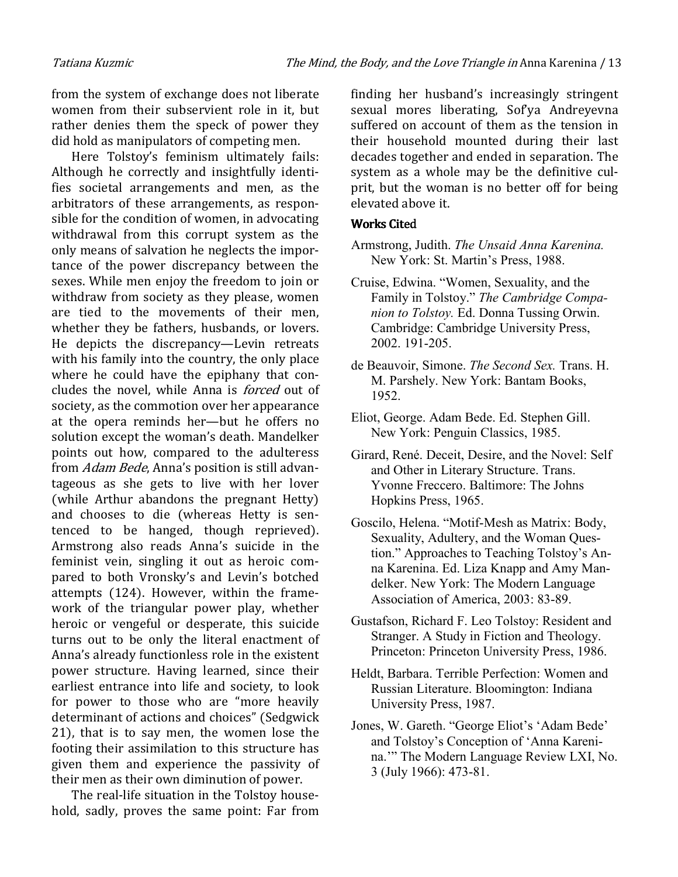from the system of exchange does not liberate women from their subservient role in it, but rather denies them the speck of power they did hold as manipulators of competing men.

Here Tolstoy's feminism ultimately fails: Although he correctly and insightfully identifies societal arrangements and men, as the arbitrators of these arrangements, as responsible for the condition of women, in advocating withdrawal from this corrupt system as the only means of salvation he neglects the importance of the power discrepancy between the sexes. While men enjoy the freedom to join or withdraw from society as they please, women are tied to the movements of their men, whether they be fathers, husbands, or lovers. He depicts the discrepancy—Levin retreats with his family into the country, the only place where he could have the epiphany that concludes the novel, while Anna is *forced* out of society, as the commotion over her appearance at the opera reminds her—but he offers no solution except the woman's death. Mandelker points out how, compared to the adulteress from Adam Bede, Anna's position is still advantageous as she gets to live with her lover (while Arthur abandons the pregnant Hetty) and chooses to die (whereas Hetty is sentenced to be hanged, though reprieved). Armstrong also reads Anna's suicide in the feminist vein, singling it out as heroic compared to both Vronsky's and Levin's botched attempts (124). However, within the framework of the triangular power play, whether heroic or vengeful or desperate, this suicide turns out to be only the literal enactment of Anna's already functionless role in the existent power structure. Having learned, since their earliest entrance into life and society, to look for power to those who are "more heavily determinant of actions and choices" (Sedgwick 21), that is to say men, the women lose the footing their assimilation to this structure has given them and experience the passivity of their men as their own diminution of power.

The real-life situation in the Tolstoy household, sadly, proves the same point: Far from

finding her husband's increasingly stringent sexual mores liberating, Sof'ya Andreyevna suffered on account of them as the tension in their household mounted during their last decades together and ended in separation. The system as a whole may be the definitive culprit, but the woman is no better off for being elevated above it.

## Works Cited

- Armstrong, Judith. The Unsaid Anna Karenina. New York: St. Martin's Press, 1988.
- Cruise, Edwina. "Women, Sexuality, and the Family in Tolstoy." The Cambridge Companion to Tolstoy. Ed. Donna Tussing Orwin. Cambridge: Cambridge University Press, 2002. 191-205.
- de Beauvoir, Simone. The Second Sex. Trans. H. M. Parshely. New York: Bantam Books, 1952.
- Eliot, George. Adam Bede. Ed. Stephen Gill. New York: Penguin Classics, 1985.
- Girard, René. Deceit, Desire, and the Novel: Self and Other in Literary Structure. Trans. Yvonne Freccero. Baltimore: The Johns Hopkins Press, 1965.
- Goscilo, Helena. "Motif-Mesh as Matrix: Body, Sexuality, Adultery, and the Woman Question." Approaches to Teaching Tolstoy's Anna Karenina. Ed. Liza Knapp and Amy Mandelker. New York: The Modern Language Association of America, 2003: 83-89.
- Gustafson, Richard F. Leo Tolstoy: Resident and Stranger. A Study in Fiction and Theology. Princeton: Princeton University Press, 1986.
- Heldt, Barbara. Terrible Perfection: Women and Russian Literature. Bloomington: Indiana University Press, 1987.
- Jones, W. Gareth. "George Eliot's 'Adam Bede' and Tolstoy's Conception of 'Anna Karenina.'" The Modern Language Review LXI, No. 3 (July 1966): 473-81.